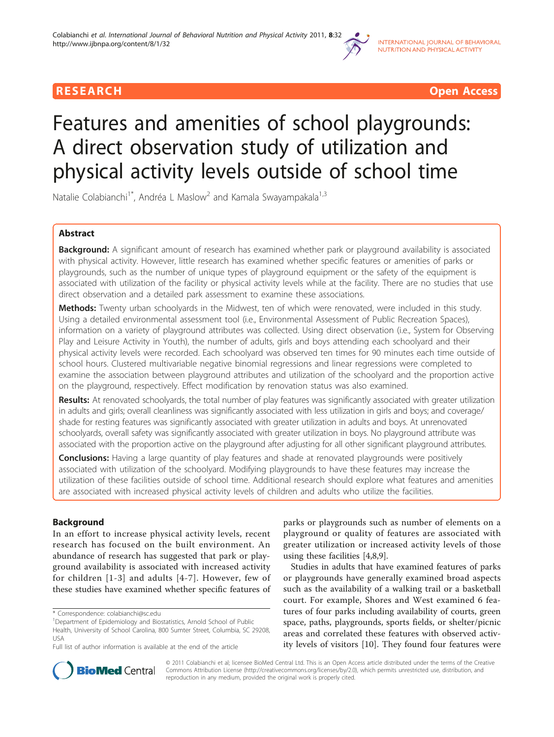

**RESEARCH Open Access CONTRACTES AND ACCESS CONTRACTES AND ACCESS CONTRACTES AND ACCESS** 

# Features and amenities of school playgrounds: A direct observation study of utilization and physical activity levels outside of school time

Natalie Colabianchi<sup>1\*</sup>, Andréa L Maslow<sup>2</sup> and Kamala Swayampakala<sup>1,3</sup>

# Abstract

**Background:** A significant amount of research has examined whether park or playground availability is associated with physical activity. However, little research has examined whether specific features or amenities of parks or playgrounds, such as the number of unique types of playground equipment or the safety of the equipment is associated with utilization of the facility or physical activity levels while at the facility. There are no studies that use direct observation and a detailed park assessment to examine these associations.

Methods: Twenty urban schoolyards in the Midwest, ten of which were renovated, were included in this study. Using a detailed environmental assessment tool (i.e., Environmental Assessment of Public Recreation Spaces), information on a variety of playground attributes was collected. Using direct observation (i.e., System for Observing Play and Leisure Activity in Youth), the number of adults, girls and boys attending each schoolyard and their physical activity levels were recorded. Each schoolyard was observed ten times for 90 minutes each time outside of school hours. Clustered multivariable negative binomial regressions and linear regressions were completed to examine the association between playground attributes and utilization of the schoolyard and the proportion active on the playground, respectively. Effect modification by renovation status was also examined.

Results: At renovated schoolyards, the total number of play features was significantly associated with greater utilization in adults and girls; overall cleanliness was significantly associated with less utilization in girls and boys; and coverage/ shade for resting features was significantly associated with greater utilization in adults and boys. At unrenovated schoolyards, overall safety was significantly associated with greater utilization in boys. No playground attribute was associated with the proportion active on the playground after adjusting for all other significant playground attributes.

**Conclusions:** Having a large quantity of play features and shade at renovated playgrounds were positively associated with utilization of the schoolyard. Modifying playgrounds to have these features may increase the utilization of these facilities outside of school time. Additional research should explore what features and amenities are associated with increased physical activity levels of children and adults who utilize the facilities.

# Background

In an effort to increase physical activity levels, recent research has focused on the built environment. An abundance of research has suggested that park or playground availability is associated with increased activity for children [[1-3\]](#page-9-0) and adults [[4-7\]](#page-9-0). However, few of these studies have examined whether specific features of

\* Correspondence: [colabianchi@sc.edu](mailto:colabianchi@sc.edu)

parks or playgrounds such as number of elements on a playground or quality of features are associated with greater utilization or increased activity levels of those using these facilities [\[4,8,9](#page-9-0)].

Studies in adults that have examined features of parks or playgrounds have generally examined broad aspects such as the availability of a walking trail or a basketball court. For example, Shores and West examined 6 features of four parks including availability of courts, green space, paths, playgrounds, sports fields, or shelter/picnic areas and correlated these features with observed activity levels of visitors [[10\]](#page-9-0). They found four features were



© 2011 Colabianchi et al; licensee BioMed Central Ltd. This is an Open Access article distributed under the terms of the Creative Commons Attribution License [\(http://creativecommons.org/licenses/by/2.0](http://creativecommons.org/licenses/by/2.0)), which permits unrestricted use, distribution, and reproduction in any medium, provided the original work is properly cited.

<sup>&</sup>lt;sup>1</sup>Department of Epidemiology and Biostatistics, Arnold School of Public Health, University of School Carolina, 800 Sumter Street, Columbia, SC 29208, USA

Full list of author information is available at the end of the article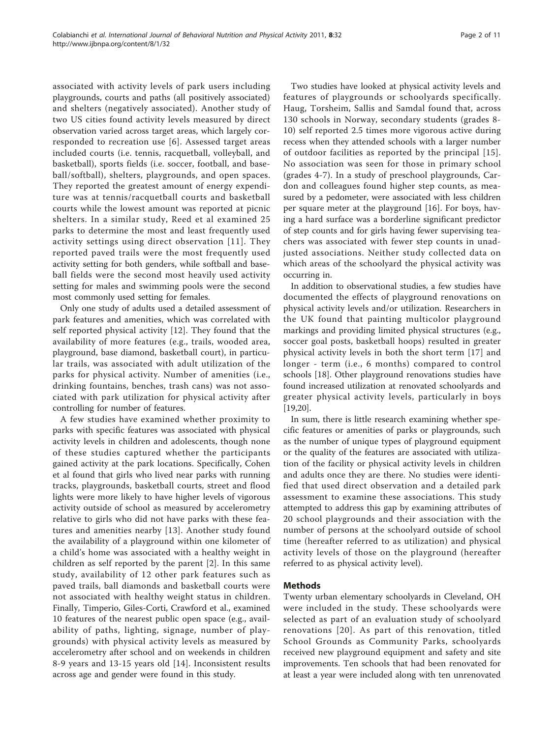associated with activity levels of park users including playgrounds, courts and paths (all positively associated) and shelters (negatively associated). Another study of two US cities found activity levels measured by direct observation varied across target areas, which largely corresponded to recreation use [[6](#page-9-0)]. Assessed target areas included courts (i.e. tennis, racquetball, volleyball, and basketball), sports fields (i.e. soccer, football, and baseball/softball), shelters, playgrounds, and open spaces. They reported the greatest amount of energy expenditure was at tennis/racquetball courts and basketball courts while the lowest amount was reported at picnic shelters. In a similar study, Reed et al examined 25 parks to determine the most and least frequently used activity settings using direct observation [[11\]](#page-9-0). They reported paved trails were the most frequently used activity setting for both genders, while softball and baseball fields were the second most heavily used activity setting for males and swimming pools were the second most commonly used setting for females.

Only one study of adults used a detailed assessment of park features and amenities, which was correlated with self reported physical activity [[12](#page-9-0)]. They found that the availability of more features (e.g., trails, wooded area, playground, base diamond, basketball court), in particular trails, was associated with adult utilization of the parks for physical activity. Number of amenities (i.e., drinking fountains, benches, trash cans) was not associated with park utilization for physical activity after controlling for number of features.

A few studies have examined whether proximity to parks with specific features was associated with physical activity levels in children and adolescents, though none of these studies captured whether the participants gained activity at the park locations. Specifically, Cohen et al found that girls who lived near parks with running tracks, playgrounds, basketball courts, street and flood lights were more likely to have higher levels of vigorous activity outside of school as measured by accelerometry relative to girls who did not have parks with these features and amenities nearby [[13\]](#page-9-0). Another study found the availability of a playground within one kilometer of a child's home was associated with a healthy weight in children as self reported by the parent [[2](#page-9-0)]. In this same study, availability of 12 other park features such as paved trails, ball diamonds and basketball courts were not associated with healthy weight status in children. Finally, Timperio, Giles-Corti, Crawford et al., examined 10 features of the nearest public open space (e.g., availability of paths, lighting, signage, number of playgrounds) with physical activity levels as measured by accelerometry after school and on weekends in children 8-9 years and 13-15 years old [\[14](#page-9-0)]. Inconsistent results across age and gender were found in this study.

Two studies have looked at physical activity levels and features of playgrounds or schoolyards specifically. Haug, Torsheim, Sallis and Samdal found that, across 130 schools in Norway, secondary students (grades 8- 10) self reported 2.5 times more vigorous active during recess when they attended schools with a larger number of outdoor facilities as reported by the principal [[15\]](#page-9-0). No association was seen for those in primary school (grades 4-7). In a study of preschool playgrounds, Cardon and colleagues found higher step counts, as measured by a pedometer, were associated with less children per square meter at the playground [\[16](#page-10-0)]. For boys, having a hard surface was a borderline significant predictor of step counts and for girls having fewer supervising teachers was associated with fewer step counts in unadjusted associations. Neither study collected data on which areas of the schoolyard the physical activity was occurring in.

In addition to observational studies, a few studies have documented the effects of playground renovations on physical activity levels and/or utilization. Researchers in the UK found that painting multicolor playground markings and providing limited physical structures (e.g., soccer goal posts, basketball hoops) resulted in greater physical activity levels in both the short term [\[17](#page-10-0)] and longer - term (i.e., 6 months) compared to control schools [\[18](#page-10-0)]. Other playground renovations studies have found increased utilization at renovated schoolyards and greater physical activity levels, particularly in boys [[19,20\]](#page-10-0).

In sum, there is little research examining whether specific features or amenities of parks or playgrounds, such as the number of unique types of playground equipment or the quality of the features are associated with utilization of the facility or physical activity levels in children and adults once they are there. No studies were identified that used direct observation and a detailed park assessment to examine these associations. This study attempted to address this gap by examining attributes of 20 school playgrounds and their association with the number of persons at the schoolyard outside of school time (hereafter referred to as utilization) and physical activity levels of those on the playground (hereafter referred to as physical activity level).

# Methods

Twenty urban elementary schoolyards in Cleveland, OH were included in the study. These schoolyards were selected as part of an evaluation study of schoolyard renovations [[20](#page-10-0)]. As part of this renovation, titled School Grounds as Community Parks, schoolyards received new playground equipment and safety and site improvements. Ten schools that had been renovated for at least a year were included along with ten unrenovated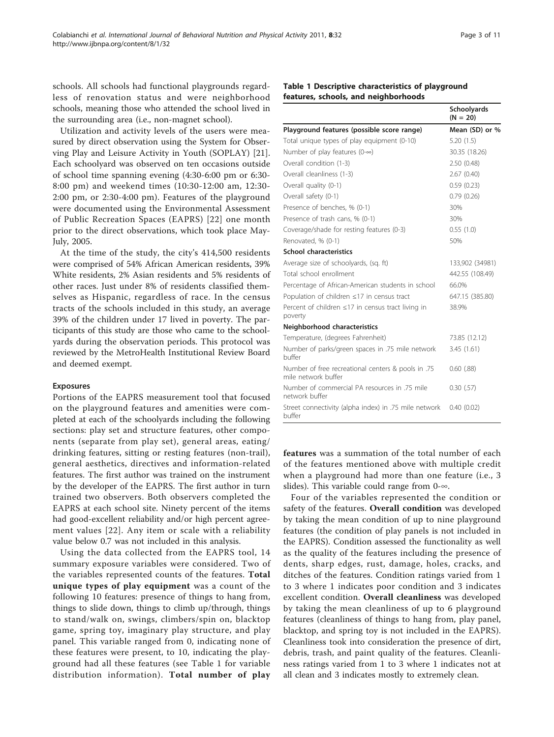<span id="page-2-0"></span>schools. All schools had functional playgrounds regardless of renovation status and were neighborhood schools, meaning those who attended the school lived in the surrounding area (i.e., non-magnet school).

Utilization and activity levels of the users were measured by direct observation using the System for Observing Play and Leisure Activity in Youth (SOPLAY) [\[21](#page-10-0)]. Each schoolyard was observed on ten occasions outside of school time spanning evening (4:30-6:00 pm or 6:30- 8:00 pm) and weekend times (10:30-12:00 am, 12:30- 2:00 pm, or 2:30-4:00 pm). Features of the playground were documented using the Environmental Assessment of Public Recreation Spaces (EAPRS) [[22](#page-10-0)] one month prior to the direct observations, which took place May-July, 2005.

At the time of the study, the city's 414,500 residents were comprised of 54% African American residents, 39% White residents, 2% Asian residents and 5% residents of other races. Just under 8% of residents classified themselves as Hispanic, regardless of race. In the census tracts of the schools included in this study, an average 39% of the children under 17 lived in poverty. The participants of this study are those who came to the schoolyards during the observation periods. This protocol was reviewed by the MetroHealth Institutional Review Board and deemed exempt.

#### Exposures

Portions of the EAPRS measurement tool that focused on the playground features and amenities were completed at each of the schoolyards including the following sections: play set and structure features, other components (separate from play set), general areas, eating/ drinking features, sitting or resting features (non-trail), general aesthetics, directives and information-related features. The first author was trained on the instrument by the developer of the EAPRS. The first author in turn trained two observers. Both observers completed the EAPRS at each school site. Ninety percent of the items had good-excellent reliability and/or high percent agreement values [[22\]](#page-10-0). Any item or scale with a reliability value below 0.7 was not included in this analysis.

Using the data collected from the EAPRS tool, 14 summary exposure variables were considered. Two of the variables represented counts of the features. Total unique types of play equipment was a count of the following 10 features: presence of things to hang from, things to slide down, things to climb up/through, things to stand/walk on, swings, climbers/spin on, blacktop game, spring toy, imaginary play structure, and play panel. This variable ranged from 0, indicating none of these features were present, to 10, indicating the playground had all these features (see Table 1 for variable distribution information). Total number of play

Table 1 Descriptive characteristics of playground features, schools, and neighborhoods

|                                                                           | <b>Schoolyards</b><br>$(N = 20)$ |
|---------------------------------------------------------------------------|----------------------------------|
| Playground features (possible score range)                                | Mean (SD) or %                   |
| Total unique types of play equipment (0-10)                               | 5.20(1.5)                        |
| Number of play features (0- $\infty$ )                                    | 30.35 (18.26)                    |
| Overall condition (1-3)                                                   | 2.50(0.48)                       |
| Overall cleanliness (1-3)                                                 | 2.67(0.40)                       |
| Overall quality (0-1)                                                     | 0.59(0.23)                       |
| Overall safety (0-1)                                                      | 0.79(0.26)                       |
| Presence of benches. % (0-1)                                              | 30%                              |
| Presence of trash cans, % (0-1)                                           | 30%                              |
| Coverage/shade for resting features (0-3)                                 | 0.55(1.0)                        |
| Renovated, % (0-1)                                                        | 50%                              |
| <b>School characteristics</b>                                             |                                  |
| Average size of schoolyards, (sg. ft)                                     | 133,902 (34981)                  |
| Total school enrollment                                                   | 442.55 (108.49)                  |
| Percentage of African-American students in school                         | 66.0%                            |
| Population of children $\leq$ 17 in census tract                          | 647.15 (385.80)                  |
| Percent of children $\leq$ 17 in census tract living in<br>poverty        | 38.9%                            |
| Neighborhood characteristics                                              |                                  |
| Temperature, (degrees Fahrenheit)                                         | 73.85 (12.12)                    |
| Number of parks/green spaces in .75 mile network<br>buffer                | 3.45(1.61)                       |
| Number of free recreational centers & pools in .75<br>mile network buffer | $0.60$ $(.88)$                   |
| Number of commercial PA resources in .75 mile<br>network buffer           | $0.30$ $(.57)$                   |
| Street connectivity (alpha index) in .75 mile network<br>buffer           | 0.40(0.02)                       |

features was a summation of the total number of each of the features mentioned above with multiple credit when a playground had more than one feature (i.e., 3 slides). This variable could range from  $0$ - $\infty$ .

Four of the variables represented the condition or safety of the features. Overall condition was developed by taking the mean condition of up to nine playground features (the condition of play panels is not included in the EAPRS). Condition assessed the functionality as well as the quality of the features including the presence of dents, sharp edges, rust, damage, holes, cracks, and ditches of the features. Condition ratings varied from 1 to 3 where 1 indicates poor condition and 3 indicates excellent condition. Overall cleanliness was developed by taking the mean cleanliness of up to 6 playground features (cleanliness of things to hang from, play panel, blacktop, and spring toy is not included in the EAPRS). Cleanliness took into consideration the presence of dirt, debris, trash, and paint quality of the features. Cleanliness ratings varied from 1 to 3 where 1 indicates not at all clean and 3 indicates mostly to extremely clean.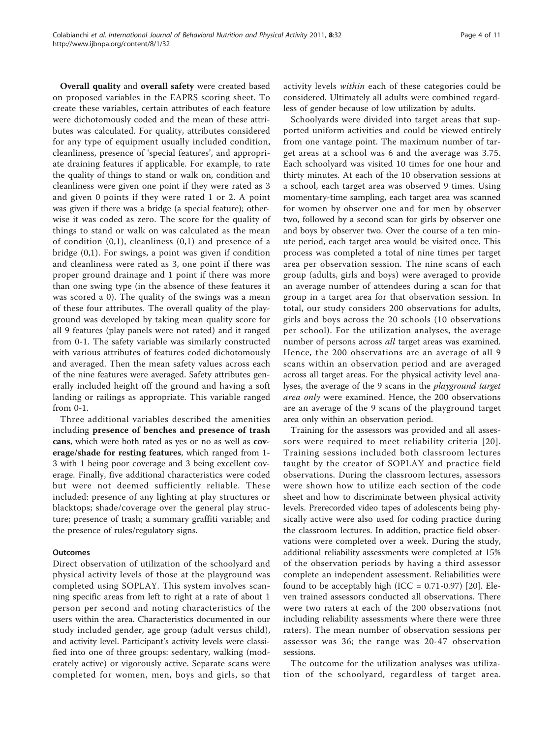Overall quality and overall safety were created based on proposed variables in the EAPRS scoring sheet. To create these variables, certain attributes of each feature were dichotomously coded and the mean of these attributes was calculated. For quality, attributes considered for any type of equipment usually included condition, cleanliness, presence of 'special features', and appropriate draining features if applicable. For example, to rate the quality of things to stand or walk on, condition and cleanliness were given one point if they were rated as 3 and given 0 points if they were rated 1 or 2. A point was given if there was a bridge (a special feature); otherwise it was coded as zero. The score for the quality of things to stand or walk on was calculated as the mean of condition  $(0,1)$ , cleanliness  $(0,1)$  and presence of a bridge (0,1). For swings, a point was given if condition and cleanliness were rated as 3, one point if there was proper ground drainage and 1 point if there was more than one swing type (in the absence of these features it was scored a 0). The quality of the swings was a mean of these four attributes. The overall quality of the playground was developed by taking mean quality score for all 9 features (play panels were not rated) and it ranged from 0-1. The safety variable was similarly constructed with various attributes of features coded dichotomously and averaged. Then the mean safety values across each of the nine features were averaged. Safety attributes generally included height off the ground and having a soft landing or railings as appropriate. This variable ranged from 0-1.

Three additional variables described the amenities including presence of benches and presence of trash cans, which were both rated as yes or no as well as coverage/shade for resting features, which ranged from 1- 3 with 1 being poor coverage and 3 being excellent coverage. Finally, five additional characteristics were coded but were not deemed sufficiently reliable. These included: presence of any lighting at play structures or blacktops; shade/coverage over the general play structure; presence of trash; a summary graffiti variable; and the presence of rules/regulatory signs.

# **Outcomes**

Direct observation of utilization of the schoolyard and physical activity levels of those at the playground was completed using SOPLAY. This system involves scanning specific areas from left to right at a rate of about 1 person per second and noting characteristics of the users within the area. Characteristics documented in our study included gender, age group (adult versus child), and activity level. Participant's activity levels were classified into one of three groups: sedentary, walking (moderately active) or vigorously active. Separate scans were completed for women, men, boys and girls, so that activity levels within each of these categories could be considered. Ultimately all adults were combined regardless of gender because of low utilization by adults.

Schoolyards were divided into target areas that supported uniform activities and could be viewed entirely from one vantage point. The maximum number of target areas at a school was 6 and the average was 3.75. Each schoolyard was visited 10 times for one hour and thirty minutes. At each of the 10 observation sessions at a school, each target area was observed 9 times. Using momentary-time sampling, each target area was scanned for women by observer one and for men by observer two, followed by a second scan for girls by observer one and boys by observer two. Over the course of a ten minute period, each target area would be visited once. This process was completed a total of nine times per target area per observation session. The nine scans of each group (adults, girls and boys) were averaged to provide an average number of attendees during a scan for that group in a target area for that observation session. In total, our study considers 200 observations for adults, girls and boys across the 20 schools (10 observations per school). For the utilization analyses, the average number of persons across all target areas was examined. Hence, the 200 observations are an average of all 9 scans within an observation period and are averaged across all target areas. For the physical activity level analyses, the average of the 9 scans in the playground target area only were examined. Hence, the 200 observations are an average of the 9 scans of the playground target area only within an observation period.

Training for the assessors was provided and all assessors were required to meet reliability criteria [[20\]](#page-10-0). Training sessions included both classroom lectures taught by the creator of SOPLAY and practice field observations. During the classroom lectures, assessors were shown how to utilize each section of the code sheet and how to discriminate between physical activity levels. Prerecorded video tapes of adolescents being physically active were also used for coding practice during the classroom lectures. In addition, practice field observations were completed over a week. During the study, additional reliability assessments were completed at 15% of the observation periods by having a third assessor complete an independent assessment. Reliabilities were found to be acceptably high (ICC =  $0.71-0.97$ ) [[20\]](#page-10-0). Eleven trained assessors conducted all observations. There were two raters at each of the 200 observations (not including reliability assessments where there were three raters). The mean number of observation sessions per assessor was 36; the range was 20-47 observation sessions.

The outcome for the utilization analyses was utilization of the schoolyard, regardless of target area.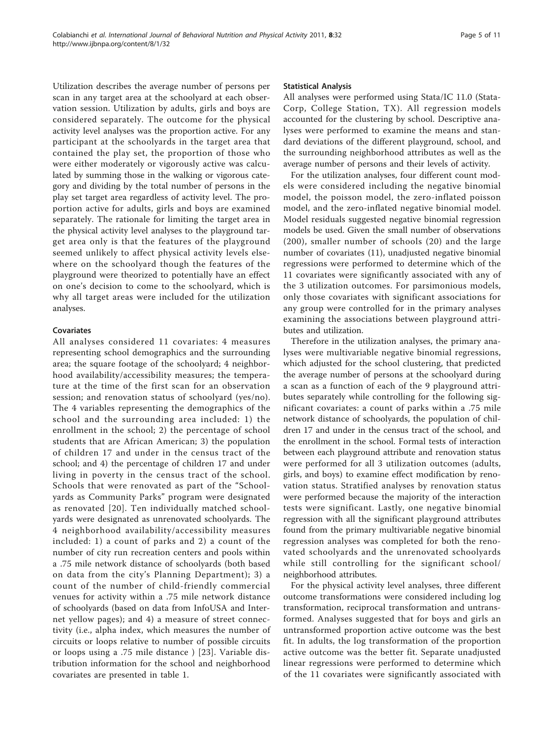Utilization describes the average number of persons per scan in any target area at the schoolyard at each observation session. Utilization by adults, girls and boys are considered separately. The outcome for the physical activity level analyses was the proportion active. For any participant at the schoolyards in the target area that contained the play set, the proportion of those who were either moderately or vigorously active was calculated by summing those in the walking or vigorous category and dividing by the total number of persons in the play set target area regardless of activity level. The proportion active for adults, girls and boys are examined separately. The rationale for limiting the target area in the physical activity level analyses to the playground target area only is that the features of the playground seemed unlikely to affect physical activity levels elsewhere on the schoolyard though the features of the playground were theorized to potentially have an effect on one's decision to come to the schoolyard, which is why all target areas were included for the utilization analyses.

#### Covariates

All analyses considered 11 covariates: 4 measures representing school demographics and the surrounding area; the square footage of the schoolyard; 4 neighborhood availability/accessibility measures; the temperature at the time of the first scan for an observation session; and renovation status of schoolyard (yes/no). The 4 variables representing the demographics of the school and the surrounding area included: 1) the enrollment in the school; 2) the percentage of school students that are African American; 3) the population of children 17 and under in the census tract of the school; and 4) the percentage of children 17 and under living in poverty in the census tract of the school. Schools that were renovated as part of the "Schoolyards as Community Parks" program were designated as renovated [[20\]](#page-10-0). Ten individually matched schoolyards were designated as unrenovated schoolyards. The 4 neighborhood availability/accessibility measures included: 1) a count of parks and 2) a count of the number of city run recreation centers and pools within a .75 mile network distance of schoolyards (both based on data from the city's Planning Department); 3) a count of the number of child-friendly commercial venues for activity within a .75 mile network distance of schoolyards (based on data from InfoUSA and Internet yellow pages); and 4) a measure of street connectivity (i.e., alpha index, which measures the number of circuits or loops relative to number of possible circuits or loops using a .75 mile distance ) [[23\]](#page-10-0). Variable distribution information for the school and neighborhood covariates are presented in table [1](#page-2-0).

#### Statistical Analysis

All analyses were performed using Stata/IC 11.0 (Stata-Corp, College Station, TX). All regression models accounted for the clustering by school. Descriptive analyses were performed to examine the means and standard deviations of the different playground, school, and the surrounding neighborhood attributes as well as the average number of persons and their levels of activity.

For the utilization analyses, four different count models were considered including the negative binomial model, the poisson model, the zero-inflated poisson model, and the zero-inflated negative binomial model. Model residuals suggested negative binomial regression models be used. Given the small number of observations (200), smaller number of schools (20) and the large number of covariates (11), unadjusted negative binomial regressions were performed to determine which of the 11 covariates were significantly associated with any of the 3 utilization outcomes. For parsimonious models, only those covariates with significant associations for any group were controlled for in the primary analyses examining the associations between playground attributes and utilization.

Therefore in the utilization analyses, the primary analyses were multivariable negative binomial regressions, which adjusted for the school clustering, that predicted the average number of persons at the schoolyard during a scan as a function of each of the 9 playground attributes separately while controlling for the following significant covariates: a count of parks within a .75 mile network distance of schoolyards, the population of children 17 and under in the census tract of the school, and the enrollment in the school. Formal tests of interaction between each playground attribute and renovation status were performed for all 3 utilization outcomes (adults, girls, and boys) to examine effect modification by renovation status. Stratified analyses by renovation status were performed because the majority of the interaction tests were significant. Lastly, one negative binomial regression with all the significant playground attributes found from the primary multivariable negative binomial regression analyses was completed for both the renovated schoolyards and the unrenovated schoolyards while still controlling for the significant school/ neighborhood attributes.

For the physical activity level analyses, three different outcome transformations were considered including log transformation, reciprocal transformation and untransformed. Analyses suggested that for boys and girls an untransformed proportion active outcome was the best fit. In adults, the log transformation of the proportion active outcome was the better fit. Separate unadjusted linear regressions were performed to determine which of the 11 covariates were significantly associated with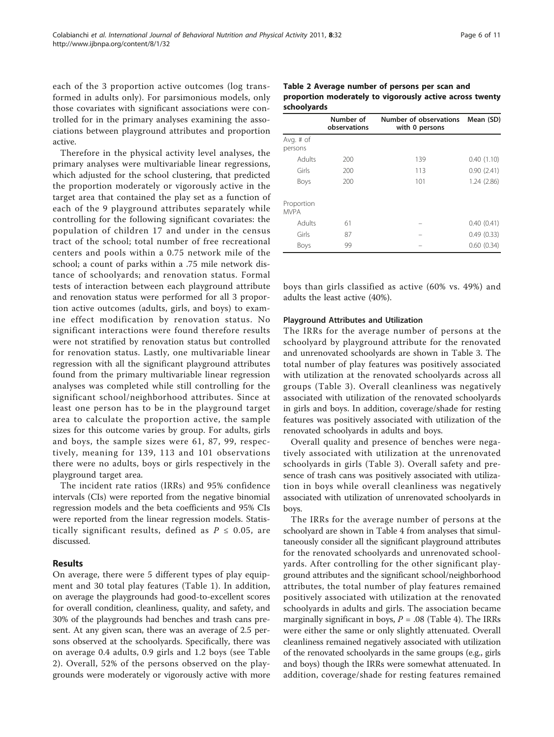each of the 3 proportion active outcomes (log transformed in adults only). For parsimonious models, only those covariates with significant associations were controlled for in the primary analyses examining the associations between playground attributes and proportion active.

Therefore in the physical activity level analyses, the primary analyses were multivariable linear regressions, which adjusted for the school clustering, that predicted the proportion moderately or vigorously active in the target area that contained the play set as a function of each of the 9 playground attributes separately while controlling for the following significant covariates: the population of children 17 and under in the census tract of the school; total number of free recreational centers and pools within a 0.75 network mile of the school; a count of parks within a .75 mile network distance of schoolyards; and renovation status. Formal tests of interaction between each playground attribute and renovation status were performed for all 3 proportion active outcomes (adults, girls, and boys) to examine effect modification by renovation status. No significant interactions were found therefore results were not stratified by renovation status but controlled for renovation status. Lastly, one multivariable linear regression with all the significant playground attributes found from the primary multivariable linear regression analyses was completed while still controlling for the significant school/neighborhood attributes. Since at least one person has to be in the playground target area to calculate the proportion active, the sample sizes for this outcome varies by group. For adults, girls and boys, the sample sizes were 61, 87, 99, respectively, meaning for 139, 113 and 101 observations there were no adults, boys or girls respectively in the playground target area.

The incident rate ratios (IRRs) and 95% confidence intervals (CIs) were reported from the negative binomial regression models and the beta coefficients and 95% CIs were reported from the linear regression models. Statistically significant results, defined as  $P \le 0.05$ , are discussed.

# Results

On average, there were 5 different types of play equipment and 30 total play features (Table [1](#page-2-0)). In addition, on average the playgrounds had good-to-excellent scores for overall condition, cleanliness, quality, and safety, and 30% of the playgrounds had benches and trash cans present. At any given scan, there was an average of 2.5 persons observed at the schoolyards. Specifically, there was on average 0.4 adults, 0.9 girls and 1.2 boys (see Table 2). Overall, 52% of the persons observed on the playgrounds were moderately or vigorously active with more

| Table 2 Average number of persons per scan and           |
|----------------------------------------------------------|
| proportion moderately to vigorously active across twenty |
| schoolyards                                              |

|                           | Number of<br>observations | Number of observations<br>with 0 persons | Mean (SD)  |
|---------------------------|---------------------------|------------------------------------------|------------|
| Avg. $#$ of<br>persons    |                           |                                          |            |
| Adults                    | 200                       | 139                                      | 0.40(1.10) |
| Girls                     | 200                       | 113                                      | 0.90(2.41) |
| Boys                      | 200                       | 101                                      | 1.24(2.86) |
| Proportion<br><b>MVPA</b> |                           |                                          |            |
| Adults                    | 61                        |                                          | 0.40(0.41) |
| Girls                     | 87                        |                                          | 0.49(0.33) |
| Boys                      | 99                        |                                          | 0.60(0.34) |

boys than girls classified as active (60% vs. 49%) and adults the least active (40%).

#### Playground Attributes and Utilization

The IRRs for the average number of persons at the schoolyard by playground attribute for the renovated and unrenovated schoolyards are shown in Table [3.](#page-6-0) The total number of play features was positively associated with utilization at the renovated schoolyards across all groups (Table [3](#page-6-0)). Overall cleanliness was negatively associated with utilization of the renovated schoolyards in girls and boys. In addition, coverage/shade for resting features was positively associated with utilization of the renovated schoolyards in adults and boys.

Overall quality and presence of benches were negatively associated with utilization at the unrenovated schoolyards in girls (Table [3](#page-6-0)). Overall safety and presence of trash cans was positively associated with utilization in boys while overall cleanliness was negatively associated with utilization of unrenovated schoolyards in boys.

The IRRs for the average number of persons at the schoolyard are shown in Table [4](#page-6-0) from analyses that simultaneously consider all the significant playground attributes for the renovated schoolyards and unrenovated schoolyards. After controlling for the other significant playground attributes and the significant school/neighborhood attributes, the total number of play features remained positively associated with utilization at the renovated schoolyards in adults and girls. The association became marginally significant in boys,  $P = .08$  (Table [4\)](#page-6-0). The IRRs were either the same or only slightly attenuated. Overall cleanliness remained negatively associated with utilization of the renovated schoolyards in the same groups (e.g., girls and boys) though the IRRs were somewhat attenuated. In addition, coverage/shade for resting features remained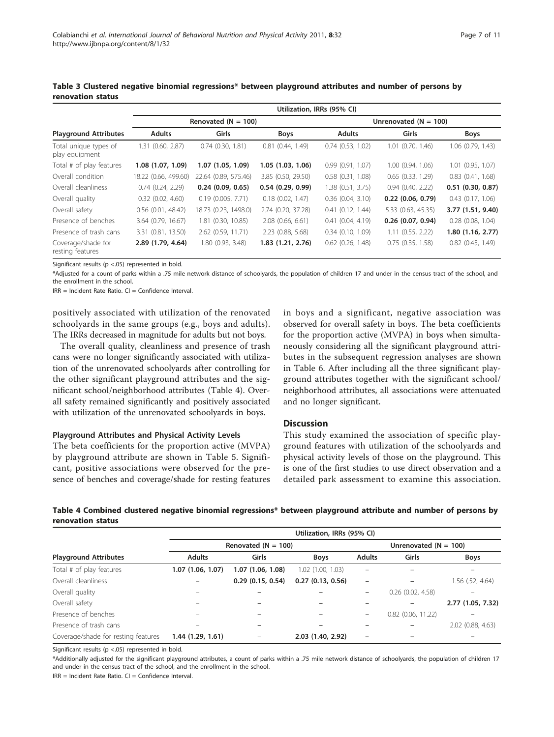|                                         | Utilization, IRRs (95% CI) |                       |                       |                         |                       |                       |  |  |  |
|-----------------------------------------|----------------------------|-----------------------|-----------------------|-------------------------|-----------------------|-----------------------|--|--|--|
|                                         |                            | Renovated $(N = 100)$ |                       | Unrenovated $(N = 100)$ |                       |                       |  |  |  |
| <b>Playground Attributes</b>            | <b>Adults</b>              | Girls                 | <b>Boys</b>           | <b>Adults</b>           | Girls                 | <b>Boys</b>           |  |  |  |
| Total unique types of<br>play equipment | 1.31 (0.60, 2.87)          | $0.74$ $(0.30, 1.81)$ | 0.81(0.44, 1.49)      | 0.74(0.53, 1.02)        | $1.01$ $(0.70, 1.46)$ | $1.06$ $(0.79, 1.43)$ |  |  |  |
| Total # of play features                | $1.08$ (1.07, 1.09)        | 1.07 (1.05, 1.09)     | 1.05(1.03, 1.06)      | 0.99(0.91, 1.07)        | 1.00(0.94, 1.06)      | $1.01$ (0.95, 1.07)   |  |  |  |
| Overall condition                       | 18.22 (0.66, 499.60)       | 22.64 (0.89, 575.46)  | 3.85 (0.50, 29.50)    | 0.58(0.31, 1.08)        | $0.65$ $(0.33, 1.29)$ | $0.83$ $(0.41, 1.68)$ |  |  |  |
| Overall cleanliness                     | 0.74(0.24, 2.29)           | 0.24(0.09, 0.65)      | 0.54(0.29, 0.99)      | 1.38 (0.51, 3.75)       | 0.94(0.40, 2.22)      | $0.51$ (0.30, 0.87)   |  |  |  |
| Overall quality                         | $0.32$ $(0.02, 4.60)$      | 0.19(0.005, 7.71)     | $0.18$ $(0.02, 1.47)$ | $0.36$ $(0.04, 3.10)$   | $0.22$ (0.06, 0.79)   | $0.43$ $(0.17, 1.06)$ |  |  |  |
| Overall safety                          | $0.56$ $(0.01, 48.42)$     | 18.73 (0.23, 1498.0)  | 2.74 (0.20, 37.28)    | 0.41(0.12, 1.44)        | 5.33 (0.63, 45.35)    | 3.77 (1.51, 9.40)     |  |  |  |
| Presence of benches                     | 3.64 (0.79, 16.67)         | 1.81 (0.30, 10.85)    | 2.08 (0.66, 6.61)     | 0.41(0.04, 4.19)        | $0.26$ $(0.07, 0.94)$ | $0.28$ $(0.08, 1.04)$ |  |  |  |
| Presence of trash cans                  | 3.31 (0.81, 13.50)         | 2.62 (0.59, 11.71)    | 2.23 (0.88, 5.68)     | $0.34$ $(0.10, 1.09)$   | 1.11(0.55, 2.22)      | 1.80(1.16, 2.77)      |  |  |  |
| Coverage/shade for<br>resting features  | 2.89 (1.79, 4.64)          | 1.80 (0.93, 3.48)     | 1.83 (1.21, 2.76)     | $0.62$ $(0.26, 1.48)$   | $0.75$ $(0.35, 1.58)$ | $0.82$ $(0.45, 1.49)$ |  |  |  |

<span id="page-6-0"></span>Table 3 Clustered negative binomial regressions\* between playground attributes and number of persons by renovation status

Significant results (p <.05) represented in bold.

\*Adjusted for a count of parks within a .75 mile network distance of schoolyards, the population of children 17 and under in the census tract of the school, and the enrollment in the school.

IRR = Incident Rate Ratio. CI = Confidence Interval.

positively associated with utilization of the renovated schoolyards in the same groups (e.g., boys and adults). The IRRs decreased in magnitude for adults but not boys.

The overall quality, cleanliness and presence of trash cans were no longer significantly associated with utilization of the unrenovated schoolyards after controlling for the other significant playground attributes and the significant school/neighborhood attributes (Table 4). Overall safety remained significantly and positively associated with utilization of the unrenovated schoolyards in boys.

## Playground Attributes and Physical Activity Levels

The beta coefficients for the proportion active (MVPA) by playground attribute are shown in Table [5](#page-7-0). Significant, positive associations were observed for the presence of benches and coverage/shade for resting features in boys and a significant, negative association was observed for overall safety in boys. The beta coefficients for the proportion active (MVPA) in boys when simultaneously considering all the significant playground attributes in the subsequent regression analyses are shown in Table [6](#page-7-0). After including all the three significant playground attributes together with the significant school/ neighborhood attributes, all associations were attenuated and no longer significant.

# **Discussion**

This study examined the association of specific playground features with utilization of the schoolyards and physical activity levels of those on the playground. This is one of the first studies to use direct observation and a detailed park assessment to examine this association.

#### Table 4 Combined clustered negative binomial regressions\* between playground attribute and number of persons by renovation status

|                                     | Utilization, IRRs (95% CI)            |                     |                   |                          |                         |                     |  |  |
|-------------------------------------|---------------------------------------|---------------------|-------------------|--------------------------|-------------------------|---------------------|--|--|
|                                     | Renovated ( $N = 100$ )               |                     |                   |                          | Unrenovated $(N = 100)$ |                     |  |  |
| <b>Playground Attributes</b>        | Girls<br><b>Adults</b><br><b>Boys</b> |                     |                   | <b>Adults</b>            | Girls                   | <b>Boys</b>         |  |  |
| Total # of play features            | 1.07(1.06, 1.07)                      | 1.07 (1.06, 1.08)   | 1.02 (1.00, 1.03) | $\overline{\phantom{0}}$ |                         |                     |  |  |
| Overall cleanliness                 |                                       | $0.29$ (0.15, 0.54) | 0.27(0.13, 0.56)  | $\overline{\phantom{0}}$ |                         | 1.56 (.52, 4.64)    |  |  |
| Overall quality                     |                                       |                     |                   | $\qquad \qquad -$        | $0.26$ $(0.02, 4.58)$   |                     |  |  |
| Overall safety                      |                                       |                     |                   |                          |                         | 2.77 (1.05, 7.32)   |  |  |
| Presence of benches                 | -                                     |                     |                   | $\qquad \qquad -$        | $0.82$ (0.06, 11.22)    |                     |  |  |
| Presence of trash cans              |                                       |                     |                   |                          |                         | $2.02$ (0.88, 4.63) |  |  |
| Coverage/shade for resting features | 1.44 (1.29, 1.61)                     | $\qquad \qquad -$   | 2.03 (1.40, 2.92) | $\qquad \qquad -$        |                         |                     |  |  |

Significant results (p <.05) represented in bold.

\*Additionally adjusted for the significant playground attributes, a count of parks within a .75 mile network distance of schoolyards, the population of children 17 and under in the census tract of the school, and the enrollment in the school.

 $IRR = Incident Rate Ratio. Cl = Confidence Interval$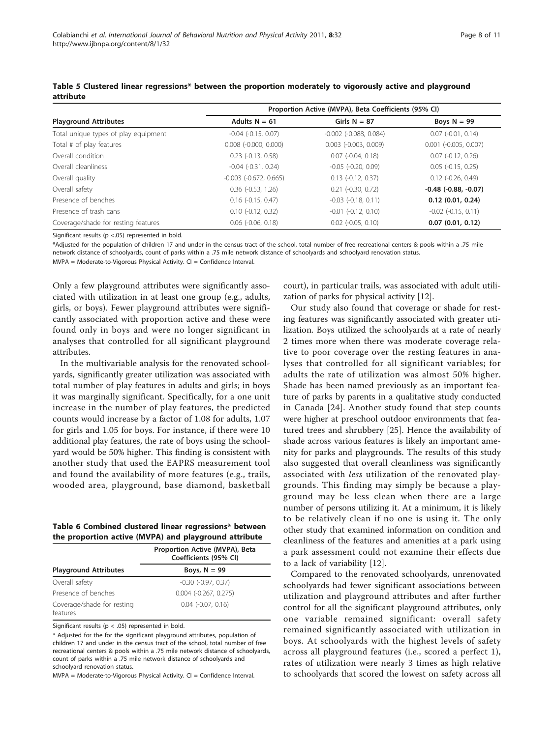|                                      | Proportion Active (MVPA), Beta Coefficients (95% CI) |                                |                                |  |  |  |  |
|--------------------------------------|------------------------------------------------------|--------------------------------|--------------------------------|--|--|--|--|
| <b>Playground Attributes</b>         | Adults $N = 61$                                      | Girls $N = 87$                 | Boys $N = 99$                  |  |  |  |  |
| Total unique types of play equipment | $-0.04$ $(-0.15, 0.07)$                              | $-0.002$ $(-0.088, 0.084)$     | $0.07$ ( $-0.01$ , $0.14$ )    |  |  |  |  |
| Total # of play features             | $0.008$ ( $-0.000$ , $0.000$ )                       | $0.003$ ( $-0.003$ , $0.009$ ) | $0.001$ ( $-0.005$ , $0.007$ ) |  |  |  |  |
| Overall condition                    | $0.23$ ( $-0.13$ , $0.58$ )                          | $0.07$ ( $-0.04$ , $0.18$ )    | $0.07$ ( $-0.12$ , $0.26$ )    |  |  |  |  |
| Overall cleanliness                  | $-0.04$ $(-0.31, 0.24)$                              | $-0.05$ $(-0.20, 0.09)$        | $0.05$ ( $-0.15$ , $0.25$ )    |  |  |  |  |
| Overall quality                      | $-0.003$ $(-0.672, 0.665)$                           | $0.13$ (-0.12, 0.37)           | $0.12$ ( $-0.26$ , $0.49$ )    |  |  |  |  |
| Overall safety                       | $0.36$ $(-0.53, 1.26)$                               | $0.21$ ( $-0.30$ , $0.72$ )    | $-0.48$ $(-0.88, -0.07)$       |  |  |  |  |
| Presence of benches                  | $0.16$ ( $-0.15$ , $0.47$ )                          | $-0.03$ $(-0.18, 0.11)$        | $0.12$ $(0.01, 0.24)$          |  |  |  |  |
| Presence of trash cans               | $0.10$ ( $-0.12$ , $0.32$ )                          | $-0.01$ $(-0.12, 0.10)$        | $-0.02$ $(-0.15, 0.11)$        |  |  |  |  |
| Coverage/shade for resting features  | $0.06$ $(-0.06, 0.18)$                               | $0.02$ ( $-0.05$ , $0.10$ )    | $0.07$ $(0.01, 0.12)$          |  |  |  |  |

<span id="page-7-0"></span>Table 5 Clustered linear regressions\* between the proportion moderately to vigorously active and playground attribute

Significant results (p <.05) represented in bold.

\*Adjusted for the population of children 17 and under in the census tract of the school, total number of free recreational centers & pools within a .75 mile network distance of schoolyards, count of parks within a .75 mile network distance of schoolyards and schoolyard renovation status.

MVPA = Moderate-to-Vigorous Physical Activity. CI = Confidence Interval.

Only a few playground attributes were significantly associated with utilization in at least one group (e.g., adults, girls, or boys). Fewer playground attributes were significantly associated with proportion active and these were found only in boys and were no longer significant in analyses that controlled for all significant playground attributes.

In the multivariable analysis for the renovated schoolyards, significantly greater utilization was associated with total number of play features in adults and girls; in boys it was marginally significant. Specifically, for a one unit increase in the number of play features, the predicted counts would increase by a factor of 1.08 for adults, 1.07 for girls and 1.05 for boys. For instance, if there were 10 additional play features, the rate of boys using the schoolyard would be 50% higher. This finding is consistent with another study that used the EAPRS measurement tool and found the availability of more features (e.g., trails, wooded area, playground, base diamond, basketball

| Table 6 Combined clustered linear regressions* between |  |  |
|--------------------------------------------------------|--|--|
| the proportion active (MVPA) and playground attribute  |  |  |

|                                        | Proportion Active (MVPA), Beta<br>Coefficients (95% CI) |  |  |  |  |
|----------------------------------------|---------------------------------------------------------|--|--|--|--|
| <b>Playground Attributes</b>           | Boys, $N = 99$                                          |  |  |  |  |
| Overall safety                         | $-0.30$ $(-0.97, 0.37)$                                 |  |  |  |  |
| Presence of benches                    | $0.004$ $(-0.267, 0.275)$                               |  |  |  |  |
| Coverage/shade for resting<br>features | $0.04$ $(-0.07, 0.16)$                                  |  |  |  |  |

Significant results ( $p < .05$ ) represented in bold.

\* Adjusted for the for the significant playground attributes, population of children 17 and under in the census tract of the school, total number of free recreational centers & pools within a .75 mile network distance of schoolyards, count of parks within a .75 mile network distance of schoolyards and schoolyard renovation status.

MVPA = Moderate-to-Vigorous Physical Activity. CI = Confidence Interval.

court), in particular trails, was associated with adult utilization of parks for physical activity [[12\]](#page-9-0).

Our study also found that coverage or shade for resting features was significantly associated with greater utilization. Boys utilized the schoolyards at a rate of nearly 2 times more when there was moderate coverage relative to poor coverage over the resting features in analyses that controlled for all significant variables; for adults the rate of utilization was almost 50% higher. Shade has been named previously as an important feature of parks by parents in a qualitative study conducted in Canada [\[24\]](#page-10-0). Another study found that step counts were higher at preschool outdoor environments that featured trees and shrubbery [[25\]](#page-10-0). Hence the availability of shade across various features is likely an important amenity for parks and playgrounds. The results of this study also suggested that overall cleanliness was significantly associated with less utilization of the renovated playgrounds. This finding may simply be because a playground may be less clean when there are a large number of persons utilizing it. At a minimum, it is likely to be relatively clean if no one is using it. The only other study that examined information on condition and cleanliness of the features and amenities at a park using a park assessment could not examine their effects due to a lack of variability [[12](#page-9-0)].

Compared to the renovated schoolyards, unrenovated schoolyards had fewer significant associations between utilization and playground attributes and after further control for all the significant playground attributes, only one variable remained significant: overall safety remained significantly associated with utilization in boys. At schoolyards with the highest levels of safety across all playground features (i.e., scored a perfect 1), rates of utilization were nearly 3 times as high relative to schoolyards that scored the lowest on safety across all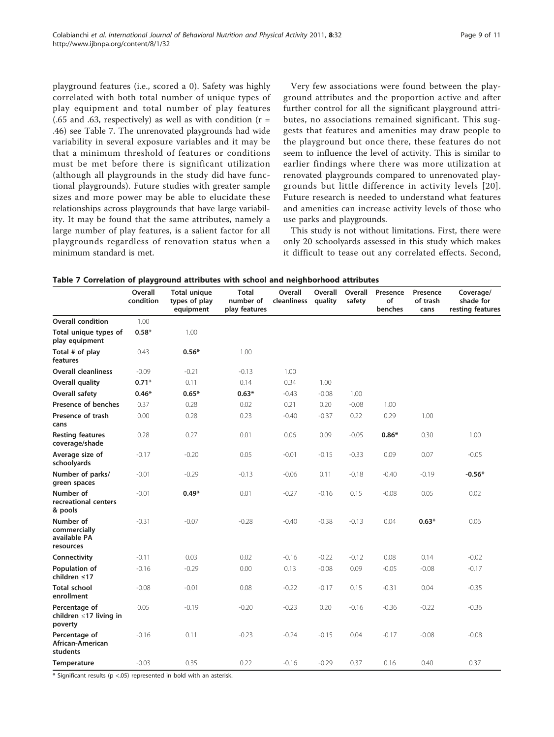playground features (i.e., scored a 0). Safety was highly correlated with both total number of unique types of play equipment and total number of play features (.65 and .63, respectively) as well as with condition ( $r =$ .46) see Table 7. The unrenovated playgrounds had wide variability in several exposure variables and it may be that a minimum threshold of features or conditions must be met before there is significant utilization (although all playgrounds in the study did have functional playgrounds). Future studies with greater sample sizes and more power may be able to elucidate these relationships across playgrounds that have large variability. It may be found that the same attributes, namely a large number of play features, is a salient factor for all playgrounds regardless of renovation status when a minimum standard is met.

Very few associations were found between the playground attributes and the proportion active and after further control for all the significant playground attributes, no associations remained significant. This suggests that features and amenities may draw people to the playground but once there, these features do not seem to influence the level of activity. This is similar to earlier findings where there was more utilization at renovated playgrounds compared to unrenovated playgrounds but little difference in activity levels [[20\]](#page-10-0). Future research is needed to understand what features and amenities can increase activity levels of those who use parks and playgrounds.

This study is not without limitations. First, there were only 20 schoolyards assessed in this study which makes it difficult to tease out any correlated effects. Second,

|  |  |  | Table 7 Correlation of playground attributes with school and neighborhood attributes |  |
|--|--|--|--------------------------------------------------------------------------------------|--|
|--|--|--|--------------------------------------------------------------------------------------|--|

|                                                          | Overall<br>condition | <b>Total unique</b><br>types of play<br>equipment | <b>Total</b><br>number of<br>play features | Overall<br>cleanliness | Overall<br>quality | Overall<br>safety | Presence<br>of<br>benches | Presence<br>of trash<br>cans | Coverage/<br>shade for<br>resting features |
|----------------------------------------------------------|----------------------|---------------------------------------------------|--------------------------------------------|------------------------|--------------------|-------------------|---------------------------|------------------------------|--------------------------------------------|
| <b>Overall condition</b>                                 | 1.00                 |                                                   |                                            |                        |                    |                   |                           |                              |                                            |
| Total unique types of<br>play equipment                  | $0.58*$              | 1.00                                              |                                            |                        |                    |                   |                           |                              |                                            |
| Total # of play<br>features                              | 0.43                 | $0.56*$                                           | 1.00                                       |                        |                    |                   |                           |                              |                                            |
| <b>Overall cleanliness</b>                               | $-0.09$              | $-0.21$                                           | $-0.13$                                    | 1.00                   |                    |                   |                           |                              |                                            |
| Overall quality                                          | $0.71*$              | 0.11                                              | 0.14                                       | 0.34                   | 1.00               |                   |                           |                              |                                            |
| Overall safety                                           | $0.46*$              | $0.65*$                                           | $0.63*$                                    | $-0.43$                | $-0.08$            | 1.00              |                           |                              |                                            |
| Presence of benches                                      | 0.37                 | 0.28                                              | 0.02                                       | 0.21                   | 0.20               | $-0.08$           | 1.00                      |                              |                                            |
| Presence of trash<br>cans                                | 0.00                 | 0.28                                              | 0.23                                       | $-0.40$                | $-0.37$            | 0.22              | 0.29                      | 1.00                         |                                            |
| <b>Resting features</b><br>coverage/shade                | 0.28                 | 0.27                                              | 0.01                                       | 0.06                   | 0.09               | $-0.05$           | $0.86*$                   | 0.30                         | 1.00                                       |
| Average size of<br>schoolyards                           | $-0.17$              | $-0.20$                                           | 0.05                                       | $-0.01$                | $-0.15$            | $-0.33$           | 0.09                      | 0.07                         | $-0.05$                                    |
| Number of parks/<br>green spaces                         | $-0.01$              | $-0.29$                                           | $-0.13$                                    | $-0.06$                | 0.11               | $-0.18$           | $-0.40$                   | $-0.19$                      | $-0.56*$                                   |
| Number of<br>recreational centers<br>& pools             | $-0.01$              | $0.49*$                                           | 0.01                                       | $-0.27$                | $-0.16$            | 0.15              | $-0.08$                   | 0.05                         | 0.02                                       |
| Number of<br>commercially<br>available PA<br>resources   | $-0.31$              | $-0.07$                                           | $-0.28$                                    | $-0.40$                | $-0.38$            | $-0.13$           | 0.04                      | $0.63*$                      | 0.06                                       |
| Connectivity                                             | $-0.11$              | 0.03                                              | 0.02                                       | $-0.16$                | $-0.22$            | $-0.12$           | 0.08                      | 0.14                         | $-0.02$                                    |
| Population of<br>children ≤17                            | $-0.16$              | $-0.29$                                           | 0.00                                       | 0.13                   | $-0.08$            | 0.09              | $-0.05$                   | $-0.08$                      | $-0.17$                                    |
| <b>Total school</b><br>enrollment                        | $-0.08$              | $-0.01$                                           | 0.08                                       | $-0.22$                | $-0.17$            | 0.15              | $-0.31$                   | 0.04                         | $-0.35$                                    |
| Percentage of<br>children $\leq$ 17 living in<br>poverty | 0.05                 | $-0.19$                                           | $-0.20$                                    | $-0.23$                | 0.20               | $-0.16$           | $-0.36$                   | $-0.22$                      | $-0.36$                                    |
| Percentage of<br>African-American<br>students            | $-0.16$              | 0.11                                              | $-0.23$                                    | $-0.24$                | $-0.15$            | 0.04              | $-0.17$                   | $-0.08$                      | $-0.08$                                    |
| Temperature                                              | $-0.03$              | 0.35                                              | 0.22                                       | $-0.16$                | $-0.29$            | 0.37              | 0.16                      | 0.40                         | 0.37                                       |

 $*$  Significant results (p <.05) represented in bold with an asterisk.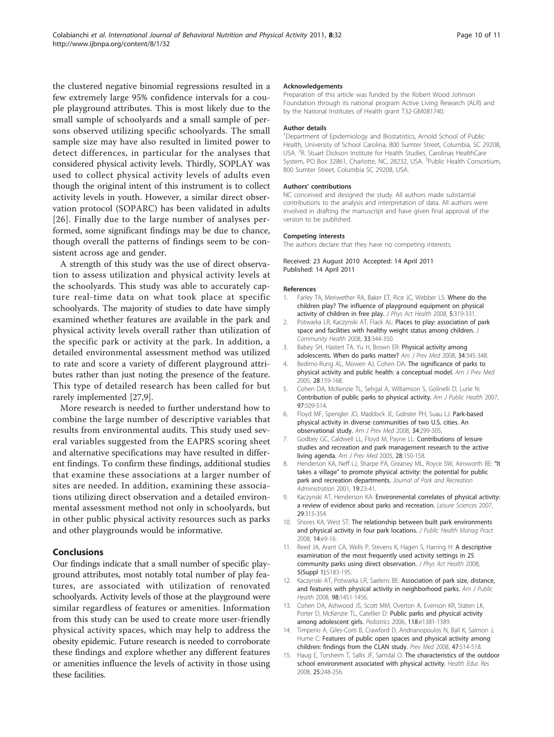<span id="page-9-0"></span>the clustered negative binomial regressions resulted in a few extremely large 95% confidence intervals for a couple playground attributes. This is most likely due to the small sample of schoolyards and a small sample of persons observed utilizing specific schoolyards. The small sample size may have also resulted in limited power to detect differences, in particular for the analyses that considered physical activity levels. Thirdly, SOPLAY was used to collect physical activity levels of adults even though the original intent of this instrument is to collect activity levels in youth. However, a similar direct observation protocol (SOPARC) has been validated in adults [[26](#page-10-0)]. Finally due to the large number of analyses performed, some significant findings may be due to chance, though overall the patterns of findings seem to be consistent across age and gender.

A strength of this study was the use of direct observation to assess utilization and physical activity levels at the schoolyards. This study was able to accurately capture real-time data on what took place at specific schoolyards. The majority of studies to date have simply examined whether features are available in the park and physical activity levels overall rather than utilization of the specific park or activity at the park. In addition, a detailed environmental assessment method was utilized to rate and score a variety of different playground attributes rather than just noting the presence of the feature. This type of detailed research has been called for but rarely implemented [[27,](#page-10-0)9].

More research is needed to further understand how to combine the large number of descriptive variables that results from environmental audits. This study used several variables suggested from the EAPRS scoring sheet and alternative specifications may have resulted in different findings. To confirm these findings, additional studies that examine these associations at a larger number of sites are needed. In addition, examining these associations utilizing direct observation and a detailed environmental assessment method not only in schoolyards, but in other public physical activity resources such as parks and other playgrounds would be informative.

## Conclusions

Our findings indicate that a small number of specific playground attributes, most notably total number of play features, are associated with utilization of renovated schoolyards. Activity levels of those at the playground were similar regardless of features or amenities. Information from this study can be used to create more user-friendly physical activity spaces, which may help to address the obesity epidemic. Future research is needed to corroborate these findings and explore whether any different features or amenities influence the levels of activity in those using these facilities.

#### Acknowledgements

Preparation of this article was funded by the Robert Wood Johnson Foundation through its national program Active Living Research (ALR) and by the National Institutes of Health grant T32-GM081740.

#### Author details

<sup>1</sup>Department of Epidemiology and Biostatistics, Arnold School of Public Health, University of School Carolina, 800 Sumter Street, Columbia, SC 29208, USA. <sup>2</sup>R. Stuart Dickson Institute for Health Studies, Carolinas HealthCare System, PO Box 32861, Charlotte, NC, 28232, USA. <sup>3</sup>Public Health Consortium 800 Sumter Street, Columbia SC 29208, USA.

#### Authors' contributions

NC conceived and designed the study. All authors made substantial contributions to the analysis and interpretation of data. All authors were involved in drafting the manuscript and have given final approval of the version to be published.

#### Competing interests

The authors declare that they have no competing interests.

Received: 23 August 2010 Accepted: 14 April 2011 Published: 14 April 2011

#### References

- 1. Farley TA, Meriwether RA, Baker ET, Rice JC, Webber LS: [Where do the](http://www.ncbi.nlm.nih.gov/pubmed/18382040?dopt=Abstract) [children play? The influence of playground equipment on physical](http://www.ncbi.nlm.nih.gov/pubmed/18382040?dopt=Abstract) [activity of children in free play.](http://www.ncbi.nlm.nih.gov/pubmed/18382040?dopt=Abstract) J Phys Act Health 2008, 5:319-331.
- 2. Potwarka LR, Kaczynski AT, Flack AL: [Places to play: association of park](http://www.ncbi.nlm.nih.gov/pubmed/18484170?dopt=Abstract) [space and facilities with healthy weight status among children.](http://www.ncbi.nlm.nih.gov/pubmed/18484170?dopt=Abstract) J Community Health 2008, 33:344-350.
- 3. Babey SH, Hastert TA, Yu H, Brown ER: [Physical activity among](http://www.ncbi.nlm.nih.gov/pubmed/18374249?dopt=Abstract) [adolescents. When do parks matter?](http://www.ncbi.nlm.nih.gov/pubmed/18374249?dopt=Abstract) Am J Prev Med 2008, 34:345-348.
- 4. Bedimo-Rung AL, Mowen AJ, Cohen DA: [The significance of parks to](http://www.ncbi.nlm.nih.gov/pubmed/15694524?dopt=Abstract) [physical activity and public health: a conceptual model.](http://www.ncbi.nlm.nih.gov/pubmed/15694524?dopt=Abstract) Am J Prev Med 2005, 28:159-168.
- 5. Cohen DA, McKenzie TL, Sehgal A, Williamson S, Golinelli D, Lurie N: [Contribution of public parks to physical activity.](http://www.ncbi.nlm.nih.gov/pubmed/17267728?dopt=Abstract) Am J Public Health 2007, 97:509-514.
- 6. Floyd MF, Spengler JO, Maddock JE, Gobster PH, Suau LJ: [Park-based](http://www.ncbi.nlm.nih.gov/pubmed/18374243?dopt=Abstract) [physical activity in diverse communities of two U.S. cities. An](http://www.ncbi.nlm.nih.gov/pubmed/18374243?dopt=Abstract) [observational study.](http://www.ncbi.nlm.nih.gov/pubmed/18374243?dopt=Abstract) Am J Prev Med 2008, 34:299-305.
- 7. Godbey GC, Caldwell LL, Floyd M, Payne LL: [Contributions of leisure](http://www.ncbi.nlm.nih.gov/pubmed/15694523?dopt=Abstract) [studies and recreation and park management research to the active](http://www.ncbi.nlm.nih.gov/pubmed/15694523?dopt=Abstract) [living agenda.](http://www.ncbi.nlm.nih.gov/pubmed/15694523?dopt=Abstract) Am J Prev Med 2005, 28:150-158.
- 8. Henderson KA, Neff LJ, Sharpe PA, Greaney ML, Royce SW, Ainsworth BE: "It takes a village" to promote physical activity: the potential for public park and recreation departments. Journal of Park and Recreation Administration 2001, 19:23-41.
- 9. Kaczynski AT, Henderson KA: Environmental correlates of physical activity: a review of evidence about parks and recreation. Leisure Sciences 2007, 29:315-354.
- 10. Shores KA, West ST: [The relationship between built park environments](http://www.ncbi.nlm.nih.gov/pubmed/18408541?dopt=Abstract) [and physical activity in four park locations.](http://www.ncbi.nlm.nih.gov/pubmed/18408541?dopt=Abstract) J Public Health Manag Pract 2008, 14:e9-16.
- 11. Reed JA, Arant CA, Wells P, Stevens K, Hagen S, Harring H: [A descriptive](http://www.ncbi.nlm.nih.gov/pubmed/18364523?dopt=Abstract) [examination of the most frequently used activity settings in 25](http://www.ncbi.nlm.nih.gov/pubmed/18364523?dopt=Abstract) [community parks using direct observation.](http://www.ncbi.nlm.nih.gov/pubmed/18364523?dopt=Abstract) J Phys Act Health 2008, 5(Suppl 1):S183-195.
- 12. Kaczynski AT, Potwarka LR, Saelens BE: [Association of park size, distance,](http://www.ncbi.nlm.nih.gov/pubmed/18556600?dopt=Abstract) [and features with physical activity in neighborhood parks.](http://www.ncbi.nlm.nih.gov/pubmed/18556600?dopt=Abstract) Am J Public Health 2008, 98:1451-1456.
- 13. Cohen DA, Ashwood JS, Scott MM, Overton A, Evenson KR, Staten LK, Porter D, McKenzie TL, Catellier D: [Public parks and physical activity](http://www.ncbi.nlm.nih.gov/pubmed/17079539?dopt=Abstract) [among adolescent girls.](http://www.ncbi.nlm.nih.gov/pubmed/17079539?dopt=Abstract) Pediatrics 2006, 118:e1381-1389.
- 14. Timperio A, Giles-Corti B, Crawford D, Andrianopoulos N, Ball K, Salmon J, Hume C: Features [of public open spaces and physical activity among](http://www.ncbi.nlm.nih.gov/pubmed/18718847?dopt=Abstract) [children: findings from the CLAN study.](http://www.ncbi.nlm.nih.gov/pubmed/18718847?dopt=Abstract) Prev Med 2008, 47:514-518.
- 15. Haug E, Torsheim T, Sallis JF, Samdal O: [The characteristics of the outdoor](http://www.ncbi.nlm.nih.gov/pubmed/18936270?dopt=Abstract) [school environment associated with physical activity.](http://www.ncbi.nlm.nih.gov/pubmed/18936270?dopt=Abstract) Health Educ Res 2008, 25:248-256.